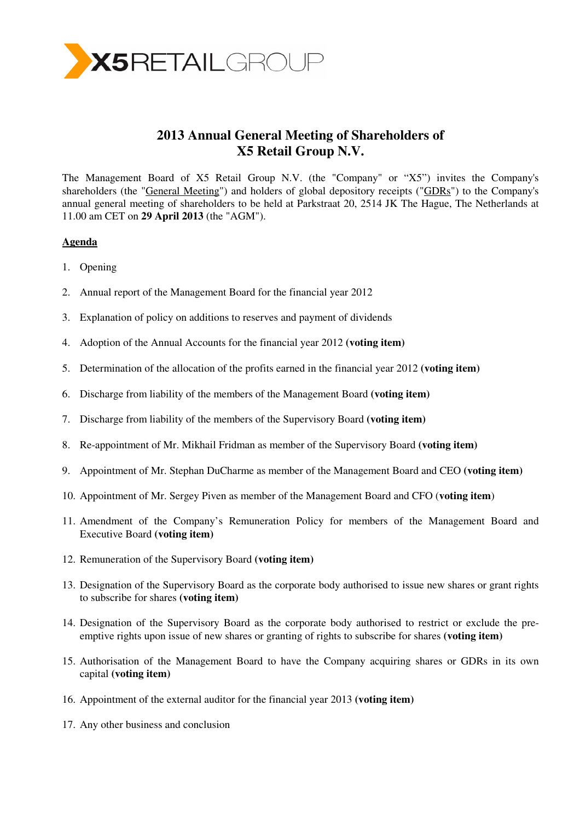

# **2013 Annual General Meeting of Shareholders of X5 Retail Group N.V.**

The Management Board of X5 Retail Group N.V. (the "Company" or "X5") invites the Company's shareholders (the "General Meeting") and holders of global depository receipts ("GDRs") to the Company's annual general meeting of shareholders to be held at Parkstraat 20, 2514 JK The Hague, The Netherlands at 11.00 am CET on **29 April 2013** (the "AGM").

# **Agenda**

- 1. Opening
- 2. Annual report of the Management Board for the financial year 2012
- 3. Explanation of policy on additions to reserves and payment of dividends
- 4. Adoption of the Annual Accounts for the financial year 2012 **(voting item)**
- 5. Determination of the allocation of the profits earned in the financial year 2012 **(voting item)**
- 6. Discharge from liability of the members of the Management Board **(voting item)**
- 7. Discharge from liability of the members of the Supervisory Board **(voting item)**
- 8. Re-appointment of Mr. Mikhail Fridman as member of the Supervisory Board **(voting item)**
- 9. Appointment of Mr. Stephan DuCharme as member of the Management Board and CEO **(voting item)**
- 10. Appointment of Mr. Sergey Piven as member of the Management Board and CFO (**voting item**)
- 11. Amendment of the Company's Remuneration Policy for members of the Management Board and Executive Board **(voting item)**
- 12. Remuneration of the Supervisory Board **(voting item)**
- 13. Designation of the Supervisory Board as the corporate body authorised to issue new shares or grant rights to subscribe for shares **(voting item)**
- 14. Designation of the Supervisory Board as the corporate body authorised to restrict or exclude the preemptive rights upon issue of new shares or granting of rights to subscribe for shares **(voting item)**
- 15. Authorisation of the Management Board to have the Company acquiring shares or GDRs in its own capital **(voting item)**
- 16. Appointment of the external auditor for the financial year 2013 **(voting item)**
- 17. Any other business and conclusion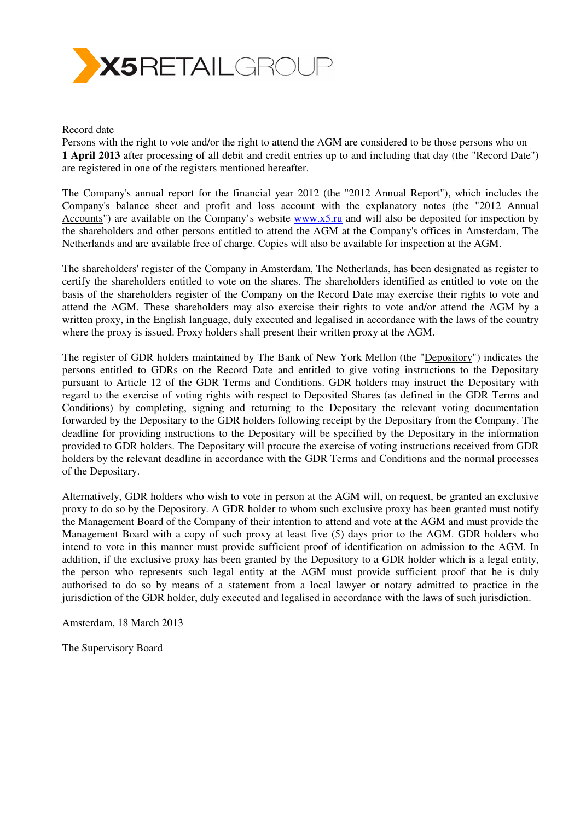

#### Record date

Persons with the right to vote and/or the right to attend the AGM are considered to be those persons who on **1 April 2013** after processing of all debit and credit entries up to and including that day (the "Record Date") are registered in one of the registers mentioned hereafter.

The Company's annual report for the financial year 2012 (the "2012 Annual Report"), which includes the Company's balance sheet and profit and loss account with the explanatory notes (the "2012 Annual Accounts") are available on the Company's website www.x5.ru and will also be deposited for inspection by the shareholders and other persons entitled to attend the AGM at the Company's offices in Amsterdam, The Netherlands and are available free of charge. Copies will also be available for inspection at the AGM.

The shareholders' register of the Company in Amsterdam, The Netherlands, has been designated as register to certify the shareholders entitled to vote on the shares. The shareholders identified as entitled to vote on the basis of the shareholders register of the Company on the Record Date may exercise their rights to vote and attend the AGM. These shareholders may also exercise their rights to vote and/or attend the AGM by a written proxy, in the English language, duly executed and legalised in accordance with the laws of the country where the proxy is issued. Proxy holders shall present their written proxy at the AGM.

The register of GDR holders maintained by The Bank of New York Mellon (the "Depository") indicates the persons entitled to GDRs on the Record Date and entitled to give voting instructions to the Depositary pursuant to Article 12 of the GDR Terms and Conditions. GDR holders may instruct the Depositary with regard to the exercise of voting rights with respect to Deposited Shares (as defined in the GDR Terms and Conditions) by completing, signing and returning to the Depositary the relevant voting documentation forwarded by the Depositary to the GDR holders following receipt by the Depositary from the Company. The deadline for providing instructions to the Depositary will be specified by the Depositary in the information provided to GDR holders. The Depositary will procure the exercise of voting instructions received from GDR holders by the relevant deadline in accordance with the GDR Terms and Conditions and the normal processes of the Depositary.

Alternatively, GDR holders who wish to vote in person at the AGM will, on request, be granted an exclusive proxy to do so by the Depository. A GDR holder to whom such exclusive proxy has been granted must notify the Management Board of the Company of their intention to attend and vote at the AGM and must provide the Management Board with a copy of such proxy at least five (5) days prior to the AGM. GDR holders who intend to vote in this manner must provide sufficient proof of identification on admission to the AGM. In addition, if the exclusive proxy has been granted by the Depository to a GDR holder which is a legal entity, the person who represents such legal entity at the AGM must provide sufficient proof that he is duly authorised to do so by means of a statement from a local lawyer or notary admitted to practice in the jurisdiction of the GDR holder, duly executed and legalised in accordance with the laws of such jurisdiction.

Amsterdam, 18 March 2013

The Supervisory Board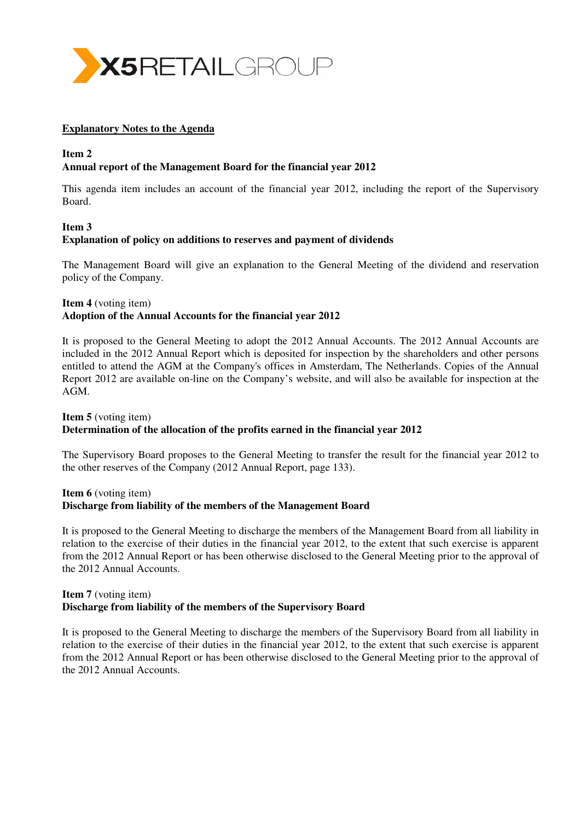

#### **Explanatory Notes to the Agenda**

# **Item 2**

# **Annual report of the Management Board for the financial year 2012**

This agenda item includes an account of the financial year 2012, including the report of the Supervisory Board.

# **Item 3 Explanation of policy on additions to reserves and payment of dividends**

The Management Board will give an explanation to the General Meeting of the dividend and reservation policy of the Company.

# **Item 4** (voting item) **Adoption of the Annual Accounts for the financial year 2012**

It is proposed to the General Meeting to adopt the 2012 Annual Accounts. The 2012 Annual Accounts are included in the 2012 Annual Report which is deposited for inspection by the shareholders and other persons entitled to attend the AGM at the Company's offices in Amsterdam, The Netherlands. Copies of the Annual Report 2012 are available on-line on the Company's website, and will also be available for inspection at the AGM.

# **Item 5** (voting item) **Determination of the allocation of the profits earned in the financial year 2012**

The Supervisory Board proposes to the General Meeting to transfer the result for the financial year 2012 to the other reserves of the Company (2012 Annual Report, page 133).

# **Item 6** (voting item) **Discharge from liability of the members of the Management Board**

It is proposed to the General Meeting to discharge the members of the Management Board from all liability in relation to the exercise of their duties in the financial year 2012, to the extent that such exercise is apparent from the 2012 Annual Report or has been otherwise disclosed to the General Meeting prior to the approval of the 2012 Annual Accounts.

# **Item 7** (voting item) **Discharge from liability of the members of the Supervisory Board**

It is proposed to the General Meeting to discharge the members of the Supervisory Board from all liability in relation to the exercise of their duties in the financial year 2012, to the extent that such exercise is apparent from the 2012 Annual Report or has been otherwise disclosed to the General Meeting prior to the approval of the 2012 Annual Accounts.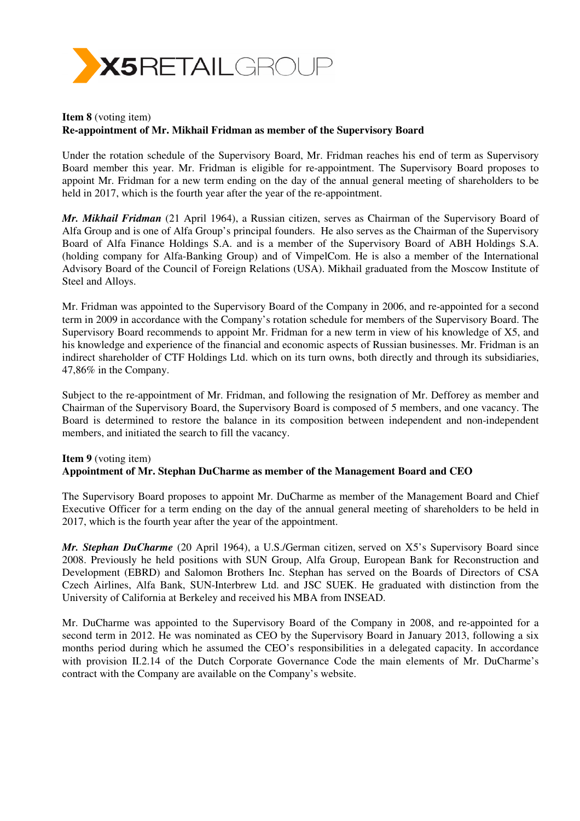

# **Item 8** (voting item) **Re-appointment of Mr. Mikhail Fridman as member of the Supervisory Board**

Under the rotation schedule of the Supervisory Board, Mr. Fridman reaches his end of term as Supervisory Board member this year. Mr. Fridman is eligible for re-appointment. The Supervisory Board proposes to appoint Mr. Fridman for a new term ending on the day of the annual general meeting of shareholders to be held in 2017, which is the fourth year after the year of the re-appointment.

*Mr. Mikhail Fridman* (21 April 1964), a Russian citizen, serves as Chairman of the Supervisory Board of Alfa Group and is one of Alfa Group's principal founders. He also serves as the Chairman of the Supervisory Board of Alfa Finance Holdings S.A. and is a member of the Supervisory Board of ABH Holdings S.A. (holding company for Alfa-Banking Group) and of VimpelCom. He is also a member of the International Advisory Board of the Council of Foreign Relations (USA). Mikhail graduated from the Moscow Institute of Steel and Alloys.

Mr. Fridman was appointed to the Supervisory Board of the Company in 2006, and re-appointed for a second term in 2009 in accordance with the Company's rotation schedule for members of the Supervisory Board. The Supervisory Board recommends to appoint Mr. Fridman for a new term in view of his knowledge of X5, and his knowledge and experience of the financial and economic aspects of Russian businesses. Mr. Fridman is an indirect shareholder of CTF Holdings Ltd. which on its turn owns, both directly and through its subsidiaries, 47,86% in the Company.

Subject to the re-appointment of Mr. Fridman, and following the resignation of Mr. Defforey as member and Chairman of the Supervisory Board, the Supervisory Board is composed of 5 members, and one vacancy. The Board is determined to restore the balance in its composition between independent and non-independent members, and initiated the search to fill the vacancy.

# **Item 9** (voting item) **Appointment of Mr. Stephan DuCharme as member of the Management Board and CEO**

The Supervisory Board proposes to appoint Mr. DuCharme as member of the Management Board and Chief Executive Officer for a term ending on the day of the annual general meeting of shareholders to be held in 2017, which is the fourth year after the year of the appointment.

*Mr. Stephan DuCharme* (20 April 1964), a U.S./German citizen, served on X5's Supervisory Board since 2008. Previously he held positions with SUN Group, Alfa Group, European Bank for Reconstruction and Development (EBRD) and Salomon Brothers Inc. Stephan has served on the Boards of Directors of CSA Czech Airlines, Alfa Bank, SUN-Interbrew Ltd. and JSC SUEK. He graduated with distinction from the University of California at Berkeley and received his MBA from INSEAD.

Mr. DuCharme was appointed to the Supervisory Board of the Company in 2008, and re-appointed for a second term in 2012. He was nominated as CEO by the Supervisory Board in January 2013, following a six months period during which he assumed the CEO's responsibilities in a delegated capacity. In accordance with provision II.2.14 of the Dutch Corporate Governance Code the main elements of Mr. DuCharme's contract with the Company are available on the Company's website.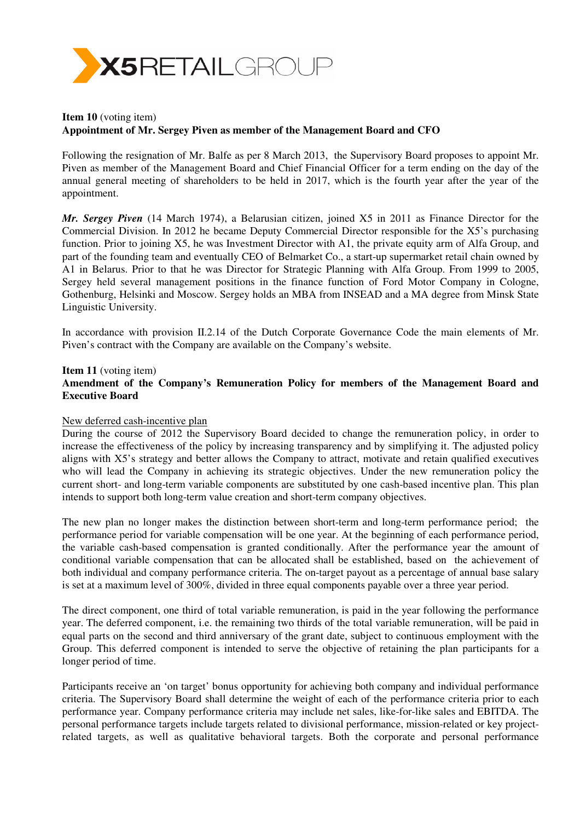

# **Item 10** (voting item) **Appointment of Mr. Sergey Piven as member of the Management Board and CFO**

Following the resignation of Mr. Balfe as per 8 March 2013, the Supervisory Board proposes to appoint Mr. Piven as member of the Management Board and Chief Financial Officer for a term ending on the day of the annual general meeting of shareholders to be held in 2017, which is the fourth year after the year of the appointment.

*Mr. Sergey Piven* (14 March 1974), a Belarusian citizen, joined X5 in 2011 as Finance Director for the Commercial Division. In 2012 he became Deputy Commercial Director responsible for the X5's purchasing function. Prior to joining X5, he was Investment Director with A1, the private equity arm of Alfa Group, and part of the founding team and eventually CEO of Belmarket Co., a start-up supermarket retail chain owned by A1 in Belarus. Prior to that he was Director for Strategic Planning with Alfa Group. From 1999 to 2005, Sergey held several management positions in the finance function of Ford Motor Company in Cologne, Gothenburg, Helsinki and Moscow. Sergey holds an MBA from INSEAD and a MA degree from Minsk State Linguistic University.

In accordance with provision II.2.14 of the Dutch Corporate Governance Code the main elements of Mr. Piven's contract with the Company are available on the Company's website.

## **Item 11** (voting item) **Amendment of the Company's Remuneration Policy for members of the Management Board and Executive Board**

#### New deferred cash-incentive plan

During the course of 2012 the Supervisory Board decided to change the remuneration policy, in order to increase the effectiveness of the policy by increasing transparency and by simplifying it. The adjusted policy aligns with X5's strategy and better allows the Company to attract, motivate and retain qualified executives who will lead the Company in achieving its strategic objectives. Under the new remuneration policy the current short- and long-term variable components are substituted by one cash-based incentive plan. This plan intends to support both long-term value creation and short-term company objectives.

The new plan no longer makes the distinction between short-term and long-term performance period; the performance period for variable compensation will be one year. At the beginning of each performance period, the variable cash-based compensation is granted conditionally. After the performance year the amount of conditional variable compensation that can be allocated shall be established, based on the achievement of both individual and company performance criteria. The on-target payout as a percentage of annual base salary is set at a maximum level of 300%, divided in three equal components payable over a three year period.

The direct component, one third of total variable remuneration, is paid in the year following the performance year. The deferred component, i.e. the remaining two thirds of the total variable remuneration, will be paid in equal parts on the second and third anniversary of the grant date, subject to continuous employment with the Group. This deferred component is intended to serve the objective of retaining the plan participants for a longer period of time.

Participants receive an 'on target' bonus opportunity for achieving both company and individual performance criteria. The Supervisory Board shall determine the weight of each of the performance criteria prior to each performance year. Company performance criteria may include net sales, like-for-like sales and EBITDA. The personal performance targets include targets related to divisional performance, mission-related or key projectrelated targets, as well as qualitative behavioral targets. Both the corporate and personal performance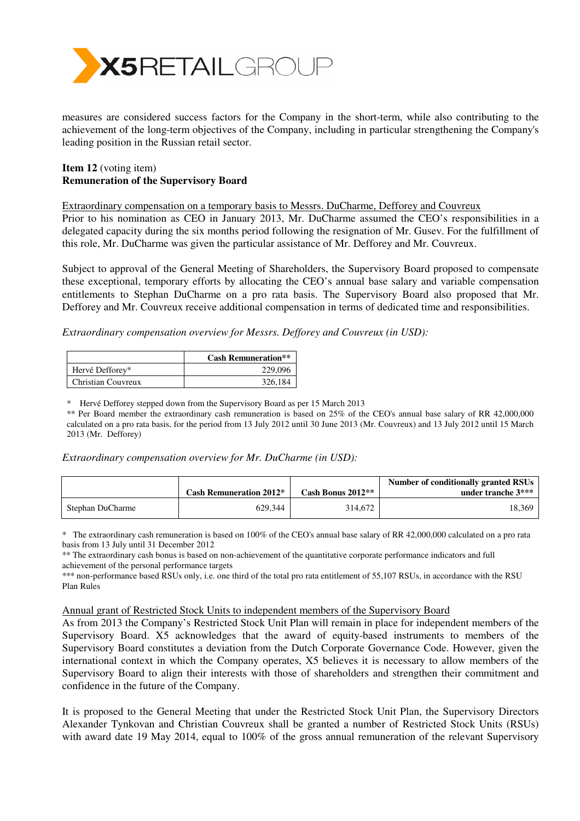

measures are considered success factors for the Company in the short-term, while also contributing to the achievement of the long-term objectives of the Company, including in particular strengthening the Company's leading position in the Russian retail sector.

#### **Item 12** (voting item) **Remuneration of the Supervisory Board**

Extraordinary compensation on a temporary basis to Messrs. DuCharme, Defforey and Couvreux

Prior to his nomination as CEO in January 2013, Mr. DuCharme assumed the CEO's responsibilities in a delegated capacity during the six months period following the resignation of Mr. Gusev. For the fulfillment of this role, Mr. DuCharme was given the particular assistance of Mr. Defforey and Mr. Couvreux.

Subject to approval of the General Meeting of Shareholders, the Supervisory Board proposed to compensate these exceptional, temporary efforts by allocating the CEO's annual base salary and variable compensation entitlements to Stephan DuCharme on a pro rata basis. The Supervisory Board also proposed that Mr. Defforey and Mr. Couvreux receive additional compensation in terms of dedicated time and responsibilities.

*Extraordinary compensation overview for Messrs. Defforey and Couvreux (in USD):* 

|                    | <b>Cash Remuneration**</b> |
|--------------------|----------------------------|
| Hervé Defforey*    | 229,096                    |
| Christian Couvreux | 326.184                    |

\* Hervé Defforey stepped down from the Supervisory Board as per 15 March 2013

\*\* Per Board member the extraordinary cash remuneration is based on 25% of the CEO's annual base salary of RR 42,000,000 calculated on a pro rata basis, for the period from 13 July 2012 until 30 June 2013 (Mr. Couvreux) and 13 July 2012 until 15 March 2013 (Mr. Defforey)

#### *Extraordinary compensation overview for Mr. DuCharme (in USD):*

|                  | <b>Cash Remuneration 2012*</b> | Cash Bonus $2012**$ | Number of conditionally granted RSUs<br>under tranche $3***$ |
|------------------|--------------------------------|---------------------|--------------------------------------------------------------|
| Stephan DuCharme | 629.344                        | 314,672             | 18.369                                                       |

\* The extraordinary cash remuneration is based on 100% of the CEO's annual base salary of RR 42,000,000 calculated on a pro rata basis from 13 July until 31 December 2012

\*\* The extraordinary cash bonus is based on non-achievement of the quantitative corporate performance indicators and full achievement of the personal performance targets

\*\*\* non-performance based RSUs only, i.e. one third of the total pro rata entitlement of 55,107 RSUs, in accordance with the RSU Plan Rules

#### Annual grant of Restricted Stock Units to independent members of the Supervisory Board

As from 2013 the Company's Restricted Stock Unit Plan will remain in place for independent members of the Supervisory Board. X5 acknowledges that the award of equity-based instruments to members of the Supervisory Board constitutes a deviation from the Dutch Corporate Governance Code. However, given the international context in which the Company operates, X5 believes it is necessary to allow members of the Supervisory Board to align their interests with those of shareholders and strengthen their commitment and confidence in the future of the Company.

It is proposed to the General Meeting that under the Restricted Stock Unit Plan, the Supervisory Directors Alexander Tynkovan and Christian Couvreux shall be granted a number of Restricted Stock Units (RSUs) with award date 19 May 2014, equal to 100% of the gross annual remuneration of the relevant Supervisory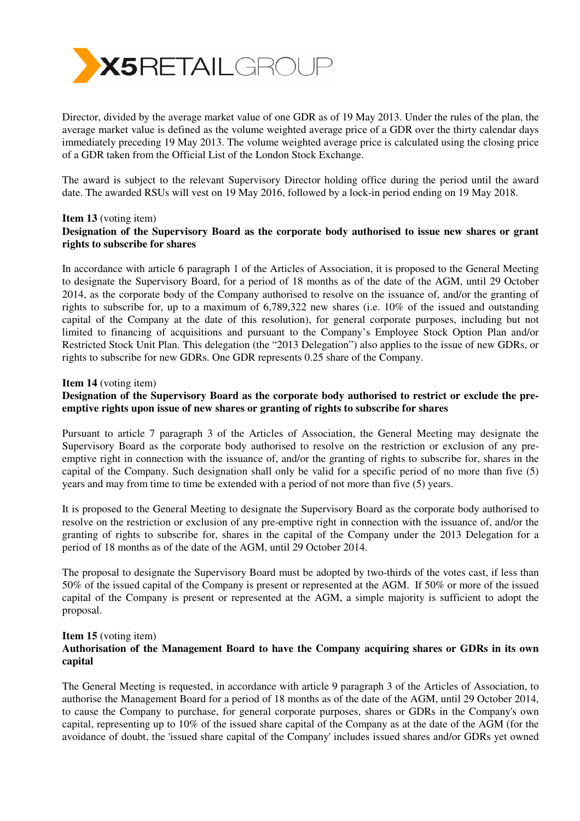

Director, divided by the average market value of one GDR as of 19 May 2013. Under the rules of the plan, the average market value is defined as the volume weighted average price of a GDR over the thirty calendar days immediately preceding 19 May 2013. The volume weighted average price is calculated using the closing price of a GDR taken from the Official List of the London Stock Exchange.

The award is subject to the relevant Supervisory Director holding office during the period until the award date. The awarded RSUs will vest on 19 May 2016, followed by a lock-in period ending on 19 May 2018.

#### **Item 13** (voting item) **Designation of the Supervisory Board as the corporate body authorised to issue new shares or grant rights to subscribe for shares**

In accordance with article 6 paragraph 1 of the Articles of Association, it is proposed to the General Meeting to designate the Supervisory Board, for a period of 18 months as of the date of the AGM, until 29 October 2014, as the corporate body of the Company authorised to resolve on the issuance of, and/or the granting of rights to subscribe for, up to a maximum of 6,789,322 new shares (i.e. 10% of the issued and outstanding capital of the Company at the date of this resolution), for general corporate purposes, including but not limited to financing of acquisitions and pursuant to the Company's Employee Stock Option Plan and/or Restricted Stock Unit Plan. This delegation (the "2013 Delegation") also applies to the issue of new GDRs, or rights to subscribe for new GDRs. One GDR represents 0.25 share of the Company.

#### **Item 14** (voting item)

# **Designation of the Supervisory Board as the corporate body authorised to restrict or exclude the preemptive rights upon issue of new shares or granting of rights to subscribe for shares**

Pursuant to article 7 paragraph 3 of the Articles of Association, the General Meeting may designate the Supervisory Board as the corporate body authorised to resolve on the restriction or exclusion of any preemptive right in connection with the issuance of, and/or the granting of rights to subscribe for, shares in the capital of the Company. Such designation shall only be valid for a specific period of no more than five (5) years and may from time to time be extended with a period of not more than five (5) years.

It is proposed to the General Meeting to designate the Supervisory Board as the corporate body authorised to resolve on the restriction or exclusion of any pre-emptive right in connection with the issuance of, and/or the granting of rights to subscribe for, shares in the capital of the Company under the 2013 Delegation for a period of 18 months as of the date of the AGM, until 29 October 2014.

The proposal to designate the Supervisory Board must be adopted by two-thirds of the votes cast, if less than 50% of the issued capital of the Company is present or represented at the AGM. If 50% or more of the issued capital of the Company is present or represented at the AGM, a simple majority is sufficient to adopt the proposal.

#### **Item 15** (voting item)

# **Authorisation of the Management Board to have the Company acquiring shares or GDRs in its own capital**

The General Meeting is requested, in accordance with article 9 paragraph 3 of the Articles of Association, to authorise the Management Board for a period of 18 months as of the date of the AGM, until 29 October 2014, to cause the Company to purchase, for general corporate purposes, shares or GDRs in the Company's own capital, representing up to 10% of the issued share capital of the Company as at the date of the AGM (for the avoidance of doubt, the 'issued share capital of the Company' includes issued shares and/or GDRs yet owned